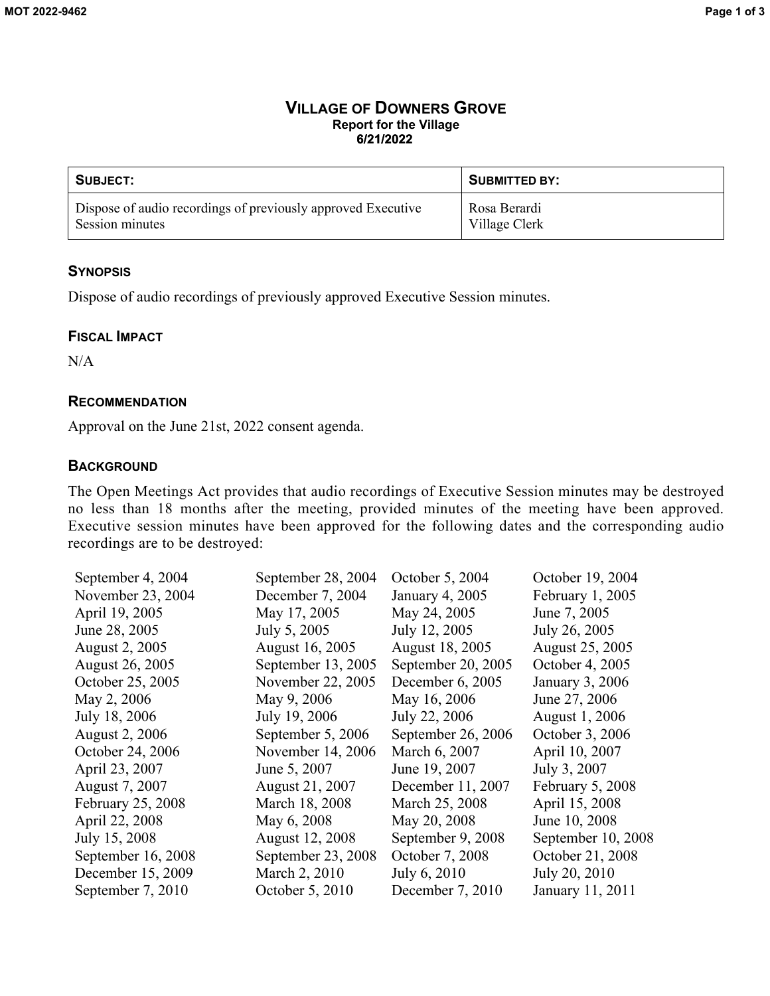#### **VILLAGE OF DOWNERS GROVE Report for the Village 6/21/2022**

| SUBJECT:                                                     | SUBMITTED BY: |
|--------------------------------------------------------------|---------------|
| Dispose of audio recordings of previously approved Executive | Rosa Berardi  |
| Session minutes                                              | Village Clerk |

### **SYNOPSIS**

Dispose of audio recordings of previously approved Executive Session minutes.

#### **FISCAL IMPACT**

 $N/A$ 

### **RECOMMENDATION**

Approval on the June 21st, 2022 consent agenda.

#### **BACKGROUND**

The Open Meetings Act provides that audio recordings of Executive Session minutes may be destroyed no less than 18 months after the meeting, provided minutes of the meeting have been approved. Executive session minutes have been approved for the following dates and the corresponding audio recordings are to be destroyed:

| September 4, 2004  | September 28, 2004 | October 5, 2004    | October 19, 2004   |
|--------------------|--------------------|--------------------|--------------------|
| November 23, 2004  | December 7, 2004   | January 4, 2005    | February 1, 2005   |
| April 19, 2005     | May 17, 2005       | May 24, 2005       | June 7, 2005       |
| June 28, 2005      | July 5, 2005       | July 12, 2005      | July 26, 2005      |
| August 2, 2005     | August 16, 2005    | August 18, 2005    | August 25, 2005    |
| August 26, 2005    | September 13, 2005 | September 20, 2005 | October 4, 2005    |
| October 25, 2005   | November 22, 2005  | December 6, 2005   | January 3, 2006    |
| May 2, 2006        | May 9, 2006        | May 16, 2006       | June 27, 2006      |
| July 18, 2006      | July 19, 2006      | July 22, 2006      | August 1, 2006     |
| August 2, 2006     | September 5, 2006  | September 26, 2006 | October 3, 2006    |
| October 24, 2006   | November 14, 2006  | March 6, 2007      | April 10, 2007     |
| April 23, 2007     | June 5, 2007       | June 19, 2007      | July 3, 2007       |
| August 7, 2007     | August 21, 2007    | December 11, 2007  | February 5, 2008   |
| February 25, 2008  | March 18, 2008     | March 25, 2008     | April 15, 2008     |
| April 22, 2008     | May 6, 2008        | May 20, 2008       | June 10, 2008      |
| July 15, 2008      | August 12, 2008    | September 9, 2008  | September 10, 2008 |
| September 16, 2008 | September 23, 2008 | October 7, 2008    | October 21, 2008   |
| December 15, 2009  | March 2, 2010      | July 6, 2010       | July 20, 2010      |
| September 7, 2010  | October 5, 2010    | December 7, 2010   | January 11, 2011   |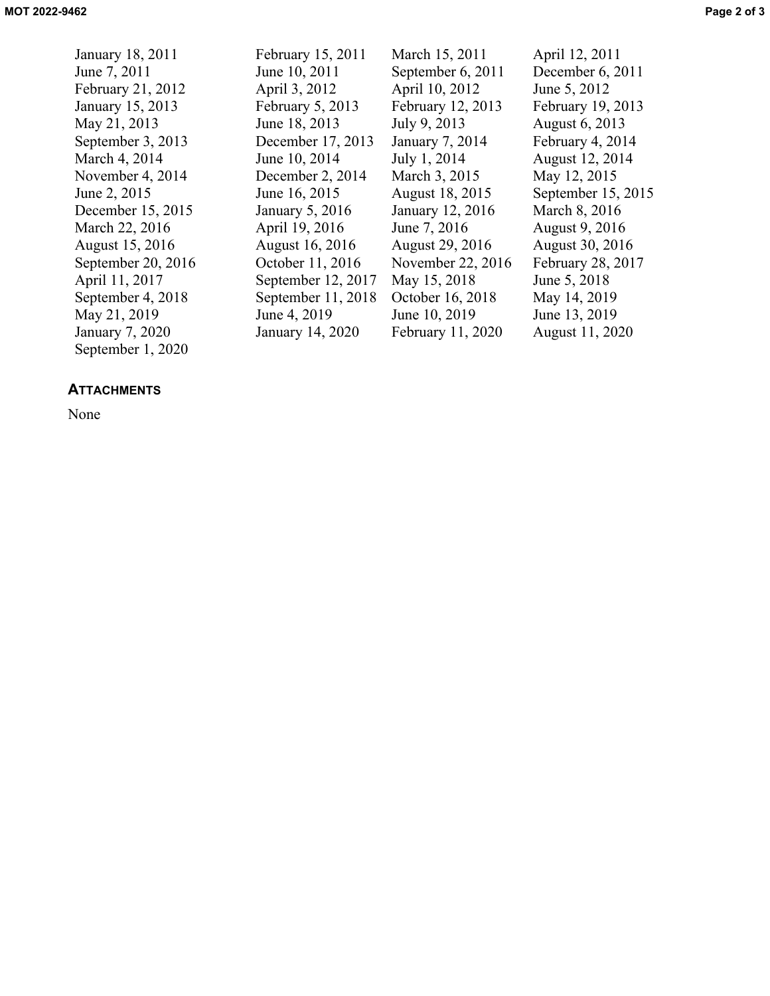January 18, 2011 February 15, 2011 March 15, 2011 April 12, 2011 June 7, 2011 June 10, 2011 September 6, 2011 December 6, 2011 February 21, 2012 April 3, 2012 April 10, 2012 June 5, 2012 January 15, 2013 February 5, 2013 February 12, 2013 February 19, 2013 May 21, 2013 June 18, 2013 July 9, 2013 August 6, 2013 September 3, 2013 December 17, 2013 January 7, 2014 February 4, 2014 March 4, 2014 **June 10, 2014** July 1, 2014 August 12, 2014 November 4, 2014 December 2, 2014 March 3, 2015 May 12, 2015 June 2, 2015 June 16, 2015 August 18, 2015 September 15, 2015 December 15, 2015 January 5, 2016 January 12, 2016 March 8, 2016 March 22, 2016 April 19, 2016 June 7, 2016 August 9, 2016 August 15, 2016 August 16, 2016 August 29, 2016 August 30, 2016 September 20, 2016 October 11, 2016 November 22, 2016 February 28, 2017 April 11, 2017 September 12, 2017 May 15, 2018 June 5, 2018 September 4, 2018 September 11, 2018 October 16, 2018 May 14, 2019 May 21, 2019 June 4, 2019 June 10, 2019 June 13, 2019 January 7, 2020 January 14, 2020 February 11, 2020 August 11, 2020 September 1, 2020

## **ATTACHMENTS**

None